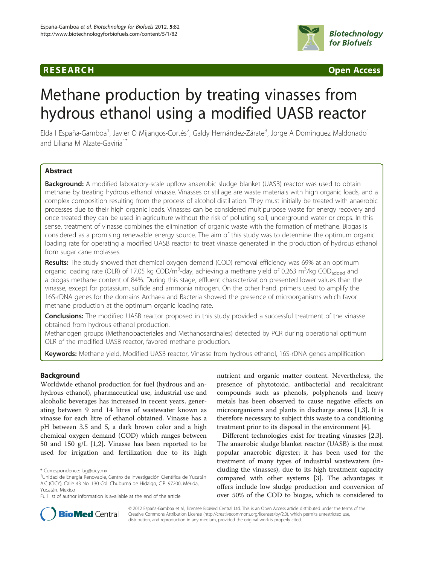# **RESEARCH CHINESE ARCH CHINESE ARCH CHINESE ARCH**



# Methane production by treating vinasses from hydrous ethanol using a modified UASB reactor

Elda I España-Gamboa<sup>1</sup>, Javier O Mijangos-Cortés<sup>2</sup>, Galdy Hernández-Zárate<sup>3</sup>, Jorge A Domínguez Maldonado<sup>1</sup> and Liliana M Alzate-Gaviria<sup>1\*</sup>

# Abstract

Background: A modified laboratory-scale upflow anaerobic sludge blanket (UASB) reactor was used to obtain methane by treating hydrous ethanol vinasse. Vinasses or stillage are waste materials with high organic loads, and a complex composition resulting from the process of alcohol distillation. They must initially be treated with anaerobic processes due to their high organic loads. Vinasses can be considered multipurpose waste for energy recovery and once treated they can be used in agriculture without the risk of polluting soil, underground water or crops. In this sense, treatment of vinasse combines the elimination of organic waste with the formation of methane. Biogas is considered as a promising renewable energy source. The aim of this study was to determine the optimum organic loading rate for operating a modified UASB reactor to treat vinasse generated in the production of hydrous ethanol from sugar cane molasses.

Results: The study showed that chemical oxygen demand (COD) removal efficiency was 69% at an optimum organic loading rate (OLR) of 17.05 kg COD/m<sup>3</sup>-day, achieving a methane yield of 0.263 m<sup>3</sup>/kg COD<sub>added</sub> and a biogas methane content of 84%. During this stage, effluent characterization presented lower values than the vinasse, except for potassium, sulfide and ammonia nitrogen. On the other hand, primers used to amplify the 16S-rDNA genes for the domains Archaea and Bacteria showed the presence of microorganisms which favor methane production at the optimum organic loading rate.

**Conclusions:** The modified UASB reactor proposed in this study provided a successful treatment of the vinasse obtained from hydrous ethanol production.

Methanogen groups (Methanobacteriales and Methanosarcinales) detected by PCR during operational optimum OLR of the modified UASB reactor, favored methane production.

Keywords: Methane yield, Modified UASB reactor, Vinasse from hydrous ethanol, 16S-rDNA genes amplification

# Background

Worldwide ethanol production for fuel (hydrous and anhydrous ethanol), pharmaceutical use, industrial use and alcoholic beverages has increased in recent years, generating between 9 and 14 litres of wastewater known as vinasse for each litre of ethanol obtained. Vinasse has a pH between 3.5 and 5, a dark brown color and a high chemical oxygen demand (COD) which ranges between 50 and 150 g/L [[1](#page-7-0),[2\]](#page-7-0). Vinasse has been reported to be used for irrigation and fertilization due to its high

nutrient and organic matter content. Nevertheless, the presence of phytotoxic, antibacterial and recalcitrant compounds such as phenols, polyphenols and heavy metals has been observed to cause negative effects on microorganisms and plants in discharge areas [\[1](#page-7-0),[3](#page-7-0)]. It is therefore necessary to subject this waste to a conditioning treatment prior to its disposal in the environment [[4\]](#page-7-0).

Different technologies exist for treating vinasses [\[2,3](#page-7-0)]. The anaerobic sludge blanket reactor (UASB) is the most popular anaerobic digester; it has been used for the treatment of many types of industrial wastewaters (including the vinasses), due to its high treatment capacity compared with other systems [[3\]](#page-7-0). The advantages it offers include low sludge production and conversion of over 50% of the COD to biogas, which is considered to



© 2012 España-Gamboa et al.; licensee BioMed Central Ltd. This is an Open Access article distributed under the terms of the Creative Commons Attribution License (<http://creativecommons.org/licenses/by/2.0>), which permits unrestricted use, distribution, and reproduction in any medium, provided the original work is properly cited.

<sup>\*</sup> Correspondence: [lag@cicy.mx](mailto:lag@cicy.mx) <sup>1</sup>

Unidad de Energía Renovable, Centro de Investigación Científica de Yucatán A.C (CICY), Calle 43 No. 130 Col. Chuburná de Hidalgo, C.P. 97200, Mérida, Yucatán, Mexico

Full list of author information is available at the end of the article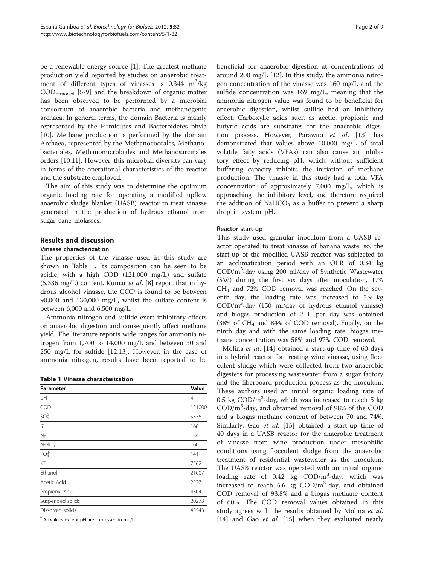be a renewable energy source [\[1](#page-7-0)]. The greatest methane production yield reported by studies on anaerobic treatment of different types of vinasses is  $0.344$  m<sup>3</sup>/kg CODremoved [[5-9](#page-7-0)] and the breakdown of organic matter has been observed to be performed by a microbial consortium of anaerobic bacteria and methanogenic archaea. In general terms, the domain Bacteria is mainly represented by the Firmicutes and Bacteroidetes phyla [[10\]](#page-7-0). Methane production is performed by the domain Archaea, represented by the Methanococcales, Methanobacteriales, Methanomicrobiales and Methanosarcinales orders [[10,11](#page-7-0)]. However, this microbial diversity can vary in terms of the operational characteristics of the reactor and the substrate employed.

The aim of this study was to determine the optimum organic loading rate for operating a modified upflow anaerobic sludge blanket (UASB) reactor to treat vinasse generated in the production of hydrous ethanol from sugar cane molasses.

# Results and discussion

# Vinasse characterization

The properties of the vinasse used in this study are shown in Table 1. Its composition can be seen to be acidic, with a high COD (121,000 mg/L) and sulfate (5,336 mg/L) content. Kumar et al. [\[8](#page-7-0)] report that in hydrous alcohol vinasse, the COD is found to be between 90,000 and 130,000 mg/L, whilst the sulfate content is between 6,000 and 6,500 mg/L.

Ammonia nitrogen and sulfide exert inhibitory effects on anaerobic digestion and consequently affect methane yield. The literature reports wide ranges for ammonia nitrogen from 1,700 to 14,000 mg/L and between 30 and 250 mg/L for sulfide [[12,13](#page-7-0)]. However, in the case of ammonia nitrogen, results have been reported to be

| Parameter                    | Value <sup>*</sup> |
|------------------------------|--------------------|
| pH                           | $\overline{4}$     |
| COD                          | 121000             |
| SO <sub>4</sub> <sup>2</sup> | 5336               |
| $S-$                         | 168                |
| $N_T$                        | 1341               |
| $N-NH_3$                     | 160                |
| PO <sub>4</sub> <sup>3</sup> | 141                |
| $\overline{K^+}$             | 7262               |
| Ethanol                      | 21007              |
| Acetic Acid                  | 2237               |
| Propionic Acid               | 4304               |
| Suspended solids             | 20273              |
| Dissolved solids             | 45543              |
|                              |                    |

All values except pH are expressed in mg/L.

beneficial for anaerobic digestion at concentrations of around 200 mg/L [[12\]](#page-7-0). In this study, the ammonia nitrogen concentration of the vinasse was 160 mg/L and the sulfide concentration was 169 mg/L, meaning that the ammonia nitrogen value was found to be beneficial for anaerobic digestion, whilst sulfide had an inhibitory effect. Carboxylic acids such as acetic, propionic and butyric acids are substrates for the anaerobic digestion process. However, Parawira et al. [[13\]](#page-7-0) has demonstrated that values above 10,000 mg/L of total volatile fatty acids (VFAs) can also cause an inhibitory effect by reducing pH, which without sufficient buffering capacity inhibits the initiation of methane production. The vinasse in this study had a total VFA concentration of approximately 7,000 mg/L, which is approaching the inhibitory level, and therefore required the addition of NaHCO<sub>3</sub> as a buffer to prevent a sharp drop in system pH.

#### Reactor start-up

This study used granular inoculum from a UASB reactor operated to treat vinasse of banana waste, so, the start-up of the modified UASB reactor was subjected to an acclimatization period with an OLR of 0.34 kg COD/m3 -day using 200 ml/day of Synthetic Wastewater (SW) during the first six days after inoculation, 17% CH4 and 72% COD removal was reached. On the seventh day, the loading rate was increased to 5.9 kg COD/m<sup>3</sup>-day (150 ml/day of hydrous ethanol vinasse) and biogas production of 2 L per day was obtained  $(38\% \text{ of } CH_4 \text{ and } 84\% \text{ of COD removal})$ . Finally, on the ninth day and with the same loading rate, biogas methane concentration was 58% and 97% COD removal.

Molina et al. [[14](#page-7-0)] obtained a start-up time of 60 days in a hybrid reactor for treating wine vinasse, using flocculent sludge which were collected from two anaerobic digesters for processing wastewater from a sugar factory and the fiberboard production process as the inoculum. These authors used an initial organic loading rate of 0.5 kg  $\text{COD/m}^3$ -day, which was increased to reach 5 kg COD/m<sup>3</sup> -day, and obtained removal of 98% of the COD and a biogas methane content of between 70 and 74%. Similarly, Gao et al. [\[15\]](#page-7-0) obtained a start-up time of 40 days in a UASB reactor for the anaerobic treatment of vinasse from wine production under mesophilic conditions using flocculent sludge from the anaerobic treatment of residential wastewater as the inoculum. The UASB reactor was operated with an initial organic loading rate of 0.42 kg COD/m<sup>3</sup>-day, which was increased to reach 5.6 kg COD/m<sup>3</sup>-day, and obtained COD removal of 93.8% and a biogas methane content of 60%. The COD removal values obtained in this study agrees with the results obtained by Molina et al. [[14\]](#page-7-0) and Gao et al. [[15\]](#page-7-0) when they evaluated nearly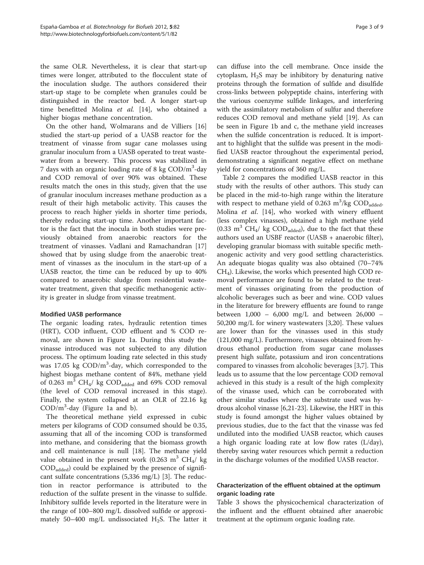the same OLR. Nevertheless, it is clear that start-up times were longer, attributed to the flocculent state of the inoculation sludge. The authors considered their start-up stage to be complete when granules could be distinguished in the reactor bed. A longer start-up time benefitted Molina et al. [[14](#page-7-0)], who obtained a higher biogas methane concentration.

On the other hand, Wolmarans and de Villiers [[16](#page-7-0)] studied the start-up period of a UASB reactor for the treatment of vinasse from sugar cane molasses using granular inoculum from a UASB operated to treat wastewater from a brewery. This process was stabilized in 7 days with an organic loading rate of 8 kg COD/m<sup>3</sup>-day and COD removal of over 90% was obtained. These results match the ones in this study, given that the use of granular inoculum increases methane production as a result of their high metabolic activity. This causes the process to reach higher yields in shorter time periods, thereby reducing start-up time. Another important factor is the fact that the inocula in both studies were previously obtained from anaerobic reactors for the treatment of vinasses. Vadlani and Ramachandran [[17](#page-7-0)] showed that by using sludge from the anaerobic treatment of vinasses as the inoculum in the start-up of a UASB reactor, the time can be reduced by up to 40% compared to anaerobic sludge from residential wastewater treatment, given that specific methanogenic activity is greater in sludge from vinasse treatment.

# Modified UASB performance

The organic loading rates, hydraulic retention times (HRT), COD influent, COD effluent and % COD removal, are shown in Figure [1a](#page-3-0). During this study the vinasse introduced was not subjected to any dilution process. The optimum loading rate selected in this study was 17.05 kg COD/m<sup>3</sup>-day, which corresponded to the highest biogas methane content of 84%, methane yield of 0.263  $\text{m}^3$  CH<sub>4</sub>/ kg COD<sub>added</sub> and 69% COD removal (the level of COD removal increased in this stage). Finally, the system collapsed at an OLR of 22.16 kg COD/m<sup>3</sup> -day (Figure [1a](#page-3-0) and b).

The theoretical methane yield expressed in cubic meters per kilograms of COD consumed should be 0.35, assuming that all of the incoming COD is transformed into methane, and considering that the biomass growth and cell maintenance is null [\[18](#page-7-0)]. The methane yield value obtained in the present work (0.263 m<sup>3</sup> CH<sub>4</sub>/ kg  $\text{COD}_{\text{added}}$ ) could be explained by the presence of significant sulfate concentrations (5,336 mg/L) [\[3\]](#page-7-0). The reduction in reactor performance is attributed to the reduction of the sulfate present in the vinasse to sulfide. Inhibitory sulfide levels reported in the literature were in the range of 100–800 mg/L dissolved sulfide or approximately 50–400 mg/L undissociated  $H_2S$ . The latter it

can diffuse into the cell membrane. Once inside the cytoplasm,  $H_2S$  may be inhibitory by denaturing native proteins through the formation of sulfide and disulfide cross-links between polypeptide chains, interfering with the various coenzyme sulfide linkages, and interfering with the assimilatory metabolism of sulfur and therefore reduces COD removal and methane yield [\[19](#page-7-0)]. As can be seen in Figure [1b](#page-3-0) and c, the methane yield increases when the sulfide concentration is reduced. It is important to highlight that the sulfide was present in the modified UASB reactor throughout the experimental period, demonstrating a significant negative effect on methane yield for concentrations of 360 mg/L.

Table [2](#page-4-0) compares the modified UASB reactor in this study with the results of other authors. This study can be placed in the mid-to-high range within the literature with respect to methane yield of 0.263  $\text{m}^3/\text{kg}$  COD<sub>added</sub>. Molina et al. [[14](#page-7-0)], who worked with winery effluent (less complex vinasses), obtained a high methane yield  $(0.33 \text{ m}^3 \text{ CH}_4/\text{ kg } COD_{added})$ , due to the fact that these authors used an USBF reactor (UASB + anaerobic filter), developing granular biomass with suitable specific methanogenic activity and very good settling characteristics. An adequate biogas quality was also obtained (70–74% CH4). Likewise, the works which presented high COD removal performance are found to be related to the treatment of vinasses originating from the production of alcoholic beverages such as beer and wine. COD values in the literature for brewery effluents are found to range between 1,000 – 6,000 mg/L and between 26,000 – 50,200 mg/L for winery wastewaters [[3,20](#page-7-0)]. These values are lower than for the vinasses used in this study (121,000 mg/L). Furthermore, vinasses obtained from hydrous ethanol production from sugar cane molasses present high sulfate, potassium and iron concentrations compared to vinasses from alcoholic beverages [[3,7\]](#page-7-0). This leads us to assume that the low percentage COD removal achieved in this study is a result of the high complexity of the vinasse used, which can be corroborated with other similar studies where the substrate used was hydrous alcohol vinasse [\[6,21](#page-7-0)-[23](#page-7-0)]. Likewise, the HRT in this study is found amongst the higher values obtained by previous studies, due to the fact that the vinasse was fed undiluted into the modified UASB reactor, which causes a high organic loading rate at low flow rates (L/day), thereby saving water resources which permit a reduction in the discharge volumes of the modified UASB reactor.

# Characterization of the effluent obtained at the optimum organic loading rate

Table [3](#page-4-0) shows the physicochemical characterization of the influent and the effluent obtained after anaerobic treatment at the optimum organic loading rate.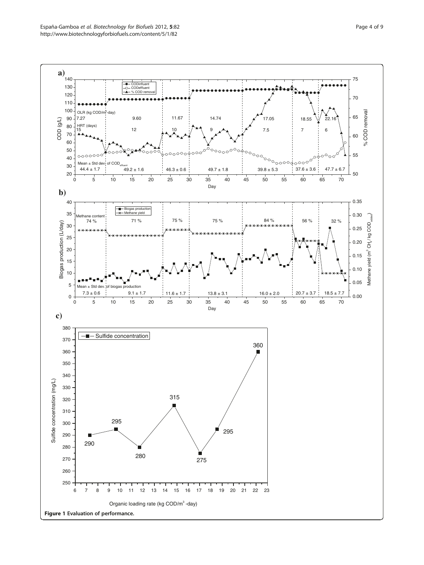<span id="page-3-0"></span>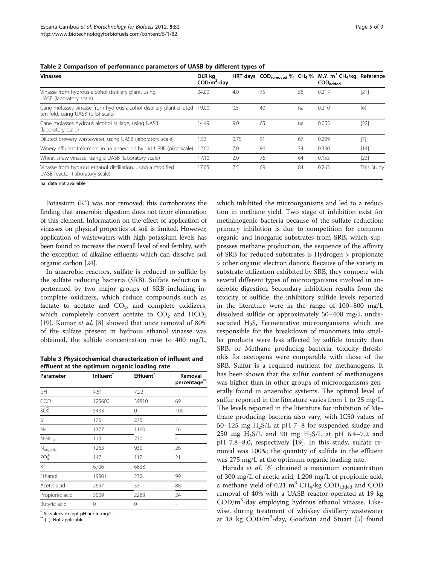| <b>Vinasses</b>                                                                                                 | OLR ka<br>$\mathsf{COD/m}^3$ -day |      |    |    | HRT days $\text{COD}_{\text{removed}}$ % $\text{CH}_4$ % M.Y. m <sup>3</sup> $\text{CH}_4/\text{kg}$ Reference<br>$\mathsf{COD}_\mathsf{added}$ |            |
|-----------------------------------------------------------------------------------------------------------------|-----------------------------------|------|----|----|-------------------------------------------------------------------------------------------------------------------------------------------------|------------|
| Vinasse from hydrous alcohol distillery plant, using<br>UASB (laboratory scale)                                 | 24.00                             | 4.0  | 75 | 58 | 0.217                                                                                                                                           | $[21]$     |
| Cane molasses vinasse from hydrous alcohol distillery plant diluted 19.00<br>ten-fold, using UASB (pilot scale) |                                   | 0.5  | 40 | na | 0.210                                                                                                                                           | [6]        |
| Cane molasses hydrous alcohol stillage, using UASB<br>(laboratory scale)                                        | 14.49                             | 9.0  | 65 | na | 0.055                                                                                                                                           | $[22]$     |
| Diluted brewery wastewater, using UASB (laboratory scale)                                                       | 1.53                              | 0.75 | 91 | 67 | 0.209                                                                                                                                           | $[7]$      |
| Winery effluent treatment in an anaerobic hybrid USBF (pilot scale)                                             | 12.00                             | 7.0  | 96 | 74 | 0.330                                                                                                                                           | [14]       |
| Wheat straw vinasse, using a UASB (laboratory scale)                                                            | 17.10                             | 2.0  | 76 | 64 | 0.155                                                                                                                                           | $[23]$     |
| Vinasse from hydrous ethanol distillation, using a modified<br>UASB reactor (laboratory scale)                  | 17.05                             | 7.5  | 69 | 84 | 0.263                                                                                                                                           | This Study |

<span id="page-4-0"></span>Table 2 Comparison of performance parameters of UASB by different types of

na: data not available.

Potassium (K<sup>+</sup>) was not removed; this corroborates the finding that anaerobic digestion does not favor elimination of this element. Information on the effect of application of vinasses on physical properties of soil is limited. However, application of wastewaters with high potassium levels has been found to increase the overall level of soil fertility, with the exception of alkaline effluents which can dissolve soil organic carbon [[24](#page-8-0)].

In anaerobic reactors, sulfate is reduced to sulfide by the sulfate reducing bacteria (SRB). Sulfate reduction is performed by two major groups of SRB including incomplete oxidizers, which reduce compounds such as lactate to acetate and  $CO<sub>2</sub>$ , and complete oxidizers, which completely convert acetate to  $CO<sub>2</sub>$  and  $HCO<sub>3</sub>$ [[19\]](#page-7-0). Kumar et al. [[8\]](#page-7-0) showed that once removal of 80% of the sulfate present in hydrous ethanol vinasse was obtained, the sulfide concentration rose to 400 mg/L,

Table 3 Physicochemical characterization of influent and effluent at the optimum organic loading rate

| Parameter                    | Influent <sup>*</sup> | <b>Effluent</b> | Removal<br>percentage |
|------------------------------|-----------------------|-----------------|-----------------------|
| pH                           | 4.51                  | 7.22            |                       |
| COD                          | 125600                | 39810           | 69                    |
| SO <sub>4</sub> <sup>2</sup> | 5433                  | 0               | 100                   |
| $S^{\dagger}$                | 175                   | 275             |                       |
| $N_T$                        | 1377                  | 1160            | 16                    |
| $N-NH_3$                     | 113                   | 230             |                       |
| $N_{organic}$                | 1263                  | 930             | 26                    |
| PO <sub>4</sub> <sup>3</sup> | 147                   | 117             | 21                    |
| $\overline{K^+}$             | 6706                  | 6838            |                       |
| Ethanol                      | 19901                 | 232             | 99                    |
| Acetic acid                  | 2697                  | 331             | 88                    |
| Propionic acid               | 3009                  | 2283            | 24                    |
| Butyric acid                 | 0                     | 0               |                       |

\* All values except pH are in mg/L.

\*\* (−): Not applicable.

which inhibited the microorganisms and led to a reduction in methane yield. Two stage of inhibition exist for methanogenic bacteria because of the sulfate reduction; primary inhibition is due to competition for common organic and inorganic substrates from SRB, which suppresses methane production, the sequence of the affinity of SRB for reduced substrates is Hydrogen > propionate > other organic electron donors. Because of the variety in substrate utilization exhibited by SRB, they compete with several different types of microorganisms involved in anaerobic digestion. Secondary inhibition results from the toxicity of sulfide, the inhibitory sulfide levels reported in the literature were in the range of 100–800 mg/L dissolved sulfide or approximately 50–400 mg/L undissociated  $H_2S$ , Fermentative microorganisms which are responsible for the breakdown of monomers into smaller products were less affected by sulfide toxicity than SRB, or Methane producing bacteria; toxicity thresholds for acetogens were comparable with those of the SRB. Sulfur is a required nutrient for methanogens. It has been shown that the sulfur content of methanogens was higher than in other groups of microorganisms generally found in anaerobic systems. The optimal level of sulfur reported in the literature varies from 1 to 25 mg/L. The levels reported in the literature for inhibition of Methane producing bacteria also vary, with IC50 values of 50–125 mg  $H_2S/L$  at pH 7–8 for suspended sludge and 250 mg H<sub>2</sub>S/L and 90 mg H<sub>2</sub>S/L at pH 6.4–7.2 and pH 7.8–8.0, respectively [\[19](#page-7-0)]. In this study, sulfate removal was 100%; the quantity of sulfide in the effluent was 275 mg/L at the optimum organic loading rate.

Harada et al. [[6\]](#page-7-0) obtained a maximum concentration of 300 mg/L of acetic acid, 1,200 mg/L of propionic acid, a methane yield of 0.21  $\text{m}^3$  CH<sub>4</sub>/kg COD<sub>added</sub> and COD removal of 40% with a UASB reactor operated at 19 kg COD/m<sup>3</sup> -day employing hydrous ethanol vinasse. Likewise, during treatment of whiskey distillery wastewater at 18 kg COD/m<sup>3</sup>-day, Goodwin and Stuart [[5\]](#page-7-0) found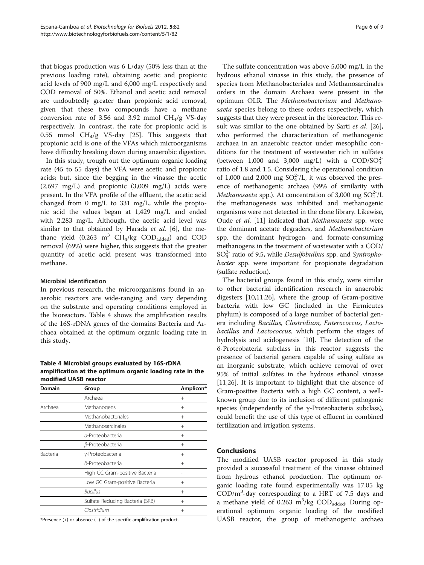that biogas production was 6 L/day (50% less than at the previous loading rate), obtaining acetic and propionic acid levels of 900 mg/L and 6,000 mg/L respectively and COD removal of 50%. Ethanol and acetic acid removal are undoubtedly greater than propionic acid removal, given that these two compounds have a methane conversion rate of 3.56 and 3.92 mmol  $CH<sub>4</sub>/g$  VS-day respectively. In contrast, the rate for propionic acid is 0.55 mmol  $CH_4/g$  VS-day [[25](#page-8-0)]. This suggests that propionic acid is one of the VFAs which microorganisms have difficulty breaking down during anaerobic digestion.

In this study, trough out the optimum organic loading rate (45 to 55 days) the VFA were acetic and propionic acids; but, since the begging in the vinasse the acetic  $(2,697 \text{ mg/L})$  and propionic  $(3,009 \text{ mg/L})$  acids were present. In the VFA profile of the effluent, the acetic acid changed from 0 mg/L to 331 mg/L, while the propionic acid the values began at 1,429 mg/L and ended with 2,283 mg/L. Although, the acetic acid level was similar to that obtained by Harada  $et$   $al.$  [[6\]](#page-7-0), the methane yield  $(0.263 \text{ m}^3 \text{ CH}_4/\text{kg} \text{ COD}_\text{added})$  and COD removal (69%) were higher, this suggests that the greater quantity of acetic acid present was transformed into methane.

# Microbial identification

In previous research, the microorganisms found in anaerobic reactors are wide-ranging and vary depending on the substrate and operating conditions employed in the bioreactors. Table 4 shows the amplification results of the 16S-rDNA genes of the domains Bacteria and Archaea obtained at the optimum organic loading rate in this study.

Table 4 Microbial groups evaluated by 16S-rDNA amplification at the optimum organic loading rate in the modified UASB reactor

| Domain          | Group                           | Amplicon* |
|-----------------|---------------------------------|-----------|
|                 | Archaea                         | $^{+}$    |
| Archaea         | Methanogens                     | $^{+}$    |
|                 | Methanobacteriales              | $^{+}$    |
|                 | Methanosarcinales               | $^{+}$    |
|                 | a-Proteobacteria                | $^{+}$    |
|                 | β-Proteobacteria                | $^{+}$    |
| <b>Bacteria</b> | y-Proteobacteria                | $^{+}$    |
|                 | δ-Proteobacteria                | $^{+}$    |
|                 | High GC Gram-positive Bacteria  |           |
|                 | Low GC Gram-positive Bacteria   | $^{+}$    |
|                 | Bacillus                        | $^{+}$    |
|                 | Sulfate Reducing Bacteria (SRB) | $^{+}$    |
|                 | Clostridium                     | $^{+}$    |

\*Presence (+) or absence (−) of the specific amplification product.

The sulfate concentration was above 5,000 mg/L in the hydrous ethanol vinasse in this study, the presence of species from Methanobacteriales and Methanosarcinales orders in the domain Archaea were present in the optimum OLR. The Methanobacterium and Methanosaeta species belong to these orders respectively, which suggests that they were present in the bioreactor. This re-sult was similar to the one obtained by Sarti et al. [\[26](#page-8-0)], who performed the characterization of methanogenic archaea in an anaerobic reactor under mesophilic conditions for the treatment of wastewater rich in sulfates (between 1,000 and 3,000 mg/L) with a  $\text{COD/SO}_4^2$ ratio of 1.8 and 1.5. Considering the operational condition of 1,000 and 2,000 mg  $SO_4^2/L$ , it was observed the presence of methanogenic archaea (99% of similarity with *Methanosaeta* spp.). At concentration of 3,000 mg  $SO_4^{2-}/L$ the methanogenesis was inhibited and methanogenic organisms were not detected in the clone library. Likewise, Oude et al. [\[11\]](#page-7-0) indicated that Methanosaeta spp. were the dominant acetate degraders, and Methanobacterium spp. the dominant hydrogen- and formate-consuming methanogens in the treatment of wastewater with a COD/  $SO_4^{2-}$  ratio of 9.5, while *Desulfobulbus* spp. and *Syntropho*bacter spp. were important for propionate degradation (sulfate reduction).

The bacterial groups found in this study, were similar to other bacterial identification research in anaerobic digesters [\[10,11](#page-7-0)[,26\]](#page-8-0), where the group of Gram-positive bacteria with low GC (included in the Firmicutes phylum) is composed of a large number of bacterial genera including Bacillus, Clostridium, Enterococcus, Lactobacillus and Lactococcus, which perform the stages of hydrolysis and acidogenesis [\[10\]](#page-7-0). The detection of the δ-Proteobateria subclass in this reactor suggests the presence of bacterial genera capable of using sulfate as an inorganic substrate, which achieve removal of over 95% of initial sulfates in the hydrous ethanol vinasse [[11,](#page-7-0)[26\]](#page-8-0). It is important to highlight that the absence of Gram-positive Bacteria with a high GC content, a wellknown group due to its inclusion of different pathogenic species (independently of the γ-Proteobacteria subclass), could benefit the use of this type of effluent in combined fertilization and irrigation systems.

#### Conclusions

The modified UASB reactor proposed in this study provided a successful treatment of the vinasse obtained from hydrous ethanol production. The optimum organic loading rate found experimentally was 17.05 kg COD/m<sup>3</sup> -day corresponding to a HRT of 7.5 days and a methane yield of 0.263  $\text{m}^3/\text{kg}$  COD<sub>added</sub>. During operational optimum organic loading of the modified UASB reactor, the group of methanogenic archaea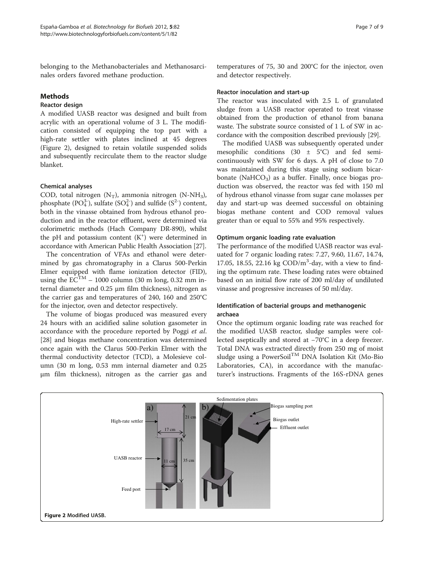belonging to the Methanobacteriales and Methanosarcinales orders favored methane production.

# **Methods**

# Reactor design

A modified UASB reactor was designed and built from acrylic with an operational volume of 3 L. The modification consisted of equipping the top part with a high-rate settler with plates inclined at 45 degrees (Figure 2), designed to retain volatile suspended solids and subsequently recirculate them to the reactor sludge blanket.

# Chemical analyses

COD, total nitrogen  $(N_T)$ , ammonia nitrogen  $(N-NH_3)$ , phosphate (PO $_4^3$ ), sulfate (SO $_4^2$ ) and sulfide (S<sup>2-</sup>) content, both in the vinasse obtained from hydrous ethanol production and in the reactor effluent, were determined via colorimetric methods (Hach Company DR-890), whilst the pH and potassium content  $(K<sup>+</sup>)$  were determined in accordance with American Public Health Association [\[27\]](#page-8-0).

The concentration of VFAs and ethanol were determined by gas chromatography in a Clarus 500-Perkin Elmer equipped with flame ionization detector (FID), using the  $EC^{TM}$  – 1000 column (30 m long, 0.32 mm internal diameter and 0.25 μm film thickness), nitrogen as the carrier gas and temperatures of 240, 160 and 250°C for the injector, oven and detector respectively.

The volume of biogas produced was measured every 24 hours with an acidified saline solution gasometer in accordance with the procedure reported by Poggi et al. [[28\]](#page-8-0) and biogas methane concentration was determined once again with the Clarus 500-Perkin Elmer with the thermal conductivity detector (TCD), a Molesieve column (30 m long, 0.53 mm internal diameter and 0.25 μm film thickness), nitrogen as the carrier gas and

temperatures of 75, 30 and 200°C for the injector, oven and detector respectively.

#### Reactor inoculation and start-up

The reactor was inoculated with 2.5 L of granulated sludge from a UASB reactor operated to treat vinasse obtained from the production of ethanol from banana waste. The substrate source consisted of 1 L of SW in accordance with the composition described previously [[29](#page-8-0)].

The modified UASB was subsequently operated under mesophilic conditions  $(30 \pm 5^{\circ}C)$  and fed semicontinuously with SW for 6 days. A pH of close to 7.0 was maintained during this stage using sodium bicarbonate (NaHCO<sub>3</sub>) as a buffer. Finally, once biogas production was observed, the reactor was fed with 150 ml of hydrous ethanol vinasse from sugar cane molasses per day and start-up was deemed successful on obtaining biogas methane content and COD removal values greater than or equal to 55% and 95% respectively.

# Optimum organic loading rate evaluation

The performance of the modified UASB reactor was evaluated for 7 organic loading rates: 7.27, 9.60, 11.67, 14.74, 17.05, 18.55, 22.16 kg COD/m<sup>3</sup>-day, with a view to finding the optimum rate. These loading rates were obtained based on an initial flow rate of 200 ml/day of undiluted vinasse and progressive increases of 50 ml/day.

# Identification of bacterial groups and methanogenic archaea

Once the optimum organic loading rate was reached for the modified UASB reactor, sludge samples were collected aseptically and stored at −70°C in a deep freezer. Total DNA was extracted directly from 250 mg of moist sludge using a PowerSoil<sup>TM</sup> DNA Isolation Kit (Mo-Bio Laboratories, CA), in accordance with the manufacturer's instructions. Fragments of the 16S-rDNA genes

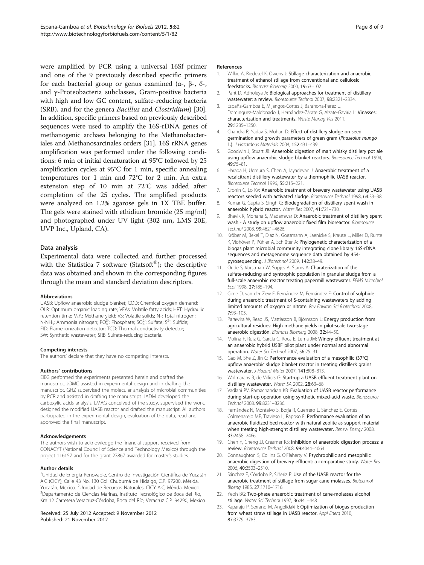<span id="page-7-0"></span>were amplified by PCR using a universal 16Sf primer and one of the 9 previously described specific primers for each bacterial group or genus examined (α-, β-, δ-, and γ-Proteobacteria subclasses, Gram-positive bacteria with high and low GC content, sulfate-reducing bacteria (SRB), and for the genera Bacillus and Clostridium) [\[30](#page-8-0)]. In addition, specific primers based on previously described sequences were used to amplify the 16S-rDNA genes of methanogenic archaea belonging to the Methanobacteriales and Methanosarcinales orders [\[31\]](#page-8-0). 16S rRNA genes amplification was performed under the following conditions: 6 min of initial denaturation at 95°C followed by 25 amplification cycles at 95°C for 1 min, specific annealing temperatures for 1 min and 72°C for 2 min. An extra extension step of 10 min at 72°C was added after completion of the 25 cycles. The amplified products were analyzed on 1.2% agarose gels in 1X TBE buffer. The gels were stained with ethidium bromide (25 mg/ml) and photographed under UV light (302 nm, LMS 20E, UVP Inc., Upland, CA).

# Data analysis

Experimental data were collected and further processed with the Statistica 7 software (Statsoft<sup>®</sup>); the descriptive data was obtained and shown in the corresponding figures through the mean and standard deviation descriptors.

#### Abbreviations

UASB: Upflow anaerobic sludge blanket; COD: Chemical oxygen demand; OLR: Optimum organic loading rate; VFAs: Volatile fatty acids; HRT: Hydraulic retention time; M.Y.: Methane yield; VS: Volatile solids; N<sub>T</sub>: Total nitrogen; N-NH<sub>3</sub>: Ammonia nitrogen; PO $_4^3$ : Phosphate; SO $_4^2$ : Sulfate; S<sup>2-</sup>: Sulfide; FID: Flame ionization detector; TCD: Thermal conductivity detector; SW: Synthetic wastewater; SRB: Sulfate-reducing bacteria.

#### Competing interests

The authors' declare that they have no competing interests.

#### Authors' contributions

EIEG performed the experiments presented herein and drafted the manuscript. JOMC assisted in experimental design and in drafting the manuscript. GHZ supervised the molecular analysis of microbial communities by PCR and assisted in drafting the manuscript. JADM developed the carboxylic acids analysis. LMAG conceived of the study, supervised the work, designed the modified UASB reactor and drafted the manuscript. All authors participated in the experimental design, evaluation of the data, read and approved the final manuscript.

#### Acknowledgements

The authors wish to acknowledge the financial support received from CONACYT (National Council of Science and Technology Mexico) through the project 116157 and for the grant 27867 awarded for master's studies.

#### Author details

<sup>1</sup>Unidad de Energía Renovable, Centro de Investigación Científica de Yucatán A.C (CICY), Calle 43 No. 130 Col. Chuburná de Hidalgo, C.P. 97200, Mérida, Yucatán, Mexico. <sup>2</sup>Unidad de Recursos Naturales, CICY A.C, Mérida, Mexico.<br><sup>3</sup>Denartamento de Ciencias Marinas, Instituto Tecnológico de Boca del Bío Departamento de Ciencias Marinas, Instituto Tecnológico de Boca del Río, Km 12 Carretera Veracruz-Córdoba, Boca del Río, Veracruz C.P. 94290, Mexico.

#### Received: 25 July 2012 Accepted: 9 November 2012 Published: 21 November 2012

#### References

- Wilkie A, Riedesel K, Owens J: Stillage characterization and anaerobic treatment of ethanol stillage from conventional and cellulosic feedstocks. Biomass Bioenerg 2000, 19:63–102.
- 2. Pant D, Adholeya A: Biological approaches for treatment of distillery wastewater: a review. Bioresource Technol 2007, 98:2321–2334.
- 3. España-Gamboa E, Mijangos-Cortes J, Barahona-Perez L, Dominguez-Maldonado J, Hernández-Zárate G, Alzate-Gaviria L: Vinasses: characterization and treatments. Waste Manag Res 2011, 29:1235–1250.
- 4. Chandra R, Yadav S, Mohan D: Effect of distillery sludge on seed germination and growth parameters of green gram (Phaseolus mungo L.). J Hazardous Materials 2008, 152:431–439.
- 5. Goodwin J, Stuart JB: Anaerobic digestion of malt whisky distillery pot ale using upflow anaerobic sludge blanket reactors. Bioresource Technol 1994, 49:75–81.
- 6. Harada H, Uemura S, Chen A, Jayadevan J: Anaerobic treatment of a recalcitrant distillery wastewater by a thermophilic UASB reactor. Bioresource Technol 1996, 55:215–221.
- Cronin C, Lo KV: Anaerobic treatment of brewery wastewater using UASB reactors seeded with activated sludge. Bioresource Technol 1998, 64:33–38.
- 8. Kumar G, Gupta S, Singh G: Biodegradation of distillery spent wash in anaerobic hybrid reactor. Water Res 2007, 41:721–730.
- 9. Bhavik K, Mohana S, Madamwar D: Anaerobic treatment of distillery spent wash - A study on upflow anaerobic fixed film bioreactor. Bioresource Technol 2008, 99:4621–4626.
- 10. Kröber M, Bekel T, Diaz N, Goesmann A, Jaenicke S, Krause L, Miller D, Runte K, Viohöver P, Pühler A, Schlüter A: Phylogenetic characterization of a biogas plant microbial community integrating clone library 16S-rDNA sequences and metagenome sequence data obtained by 454 pyrosequencing. J Biotechnol 2009, 142:38–49.
- 11. Oude S, Vorstman W, Sopjes A, Stams A: Charaterization of the sulfate-reducing and syntrophic population in granular sludge from a full-scale anaerobic reactor treating papermill wastewater. FEMS Microbiol Ecol 1998, 27:185–194.
- 12. Cirne D, van der Zew F, Fernández M, Fernández F: Control of sulphide during anaerobic treatment of S-containing wastewaters by adding limited amounts of oxygen or nitrate. Rev Environ Sci Biotechnol 2008, 7:93–105.
- 13. Parawira W, Read JS, Mattiasson B, Björnsson L: Energy production from agricultural residues: High methane yields in pilot-scale two-stage anaerobic digestión. Biomass Bioenerg 2008, 32:44–50.
- 14. Molina F, Ruiz G, García C, Roca E, Lema JM: Winery effluent treatment at an anaerobic hybrid USBF pilot plant under normal and abnormal operation. Water Sci Technol 2007, 56:25–31.
- 15. Gao M, She Z, Jin C: Performance evaluation of a mesophilic (37°C) upflow anaerobic sludge blanket reactor in treating distiller's grains wastewater. J Hazard Mater 2007, 141:808–813.
- 16. Wolmarans B, de Villiers G: Start-up a UASB effluent treatment plant on distillery wastewater. Water SA 2002, 28:63–68.
- 17. Vadlani PV, Ramachandran KB: Evaluation of UASB reactor performance during start-up operation using synthetic mixed-acid waste. Bioresource Technol 2008, 99:8231–8236.
- 18. Fernández N, Montalvo S, Borja R, Guerrero L, Sánchez E, Cortés I, Colmenarejo MF, Travieso L, Raposo F: Performance evaluation of an anaerobic fluidized bed reactor with natural zeolite as support material when treating high-strenght distillery wastewater. Renew Energy 2008, 33:2458–2466.
- 19. Chen Y, Cheng JJ, Creamer KS: Inhibition of anaerobic digestion process: a review. Bioresource Technol 2008, 99:4044–4064.
- 20. Connaughton S, Collins G, O'Flaherty V: Psychrophilic and mesophilic anaerobic digestion of brewery effluent: a comparative study. Water Res 2006, 40:2503–2510.
- 21. Sánchez F, Córdoba P, Siñeriz F: Use of the UASB reactor for the anaerobic treatment of stillage from sugar cane molasses. Biotechnol Bioeng 1985, 27:1710–1716.
- 22. Yeoh BG: Two-phase anaerobic treatment of cane-molasses alcohol stillage. Water Sci Technol 1997, 36:441-448.
- 23. Kaparaju P, Serrano M, Angelidaki I: Optimization of biogas production from wheat straw stillage in UASB reactor. Appl Energ 2010, 87:3779–3783.